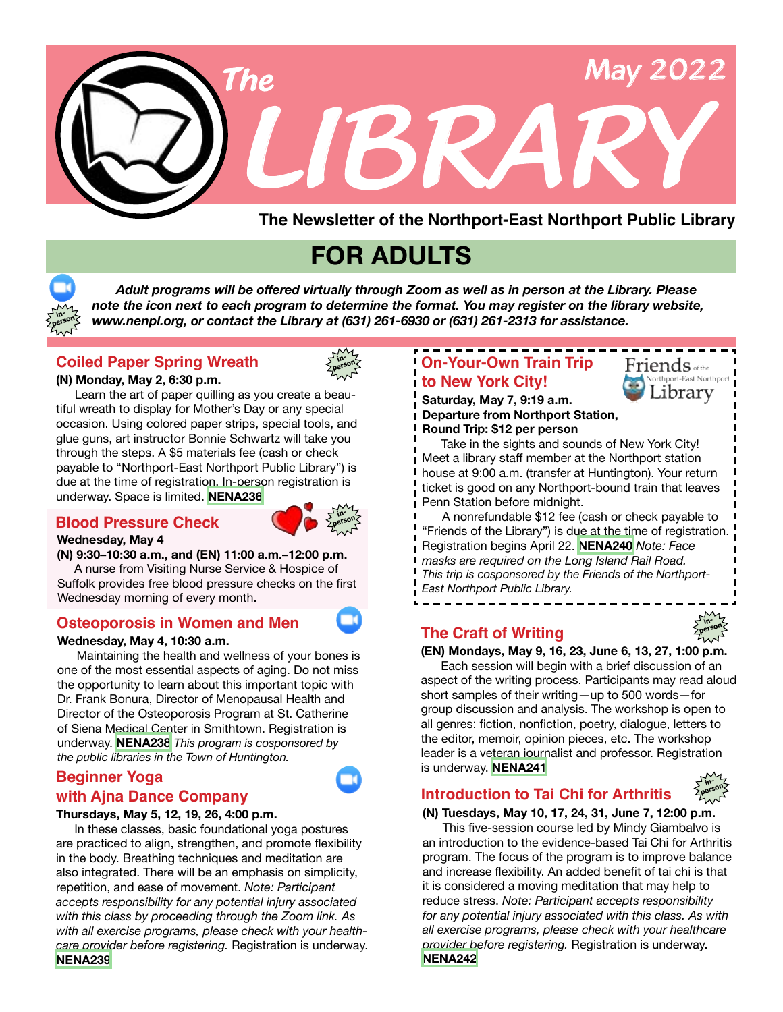

 *Adult programs will be offered virtually through Zoom as well as in person at the Library. Please note the icon next to each program to determine the format. You may register on the library website, www.nenpl.org, or contact the Library at (631) 261-6930 or (631) 261-2313 for assistance.* **in-**

## **Coiled Paper Spring Wreath**



#### **(N) Monday, May 2, 6:30 p.m.**

**person**

 Learn the art of paper quilling as you create a beautiful wreath to display for Mother's Day or any special occasion. Using colored paper strips, special tools, and glue guns, art instructor Bonnie Schwartz will take you through the steps. A \$5 materials fee (cash or check payable to "Northport-East Northport Public Library") is due at the time of registration. In-person registration is underway. Space is limited. **[NENA236](https://www.nenpl.org/event/coiled-paper-spring-wreath-person)**

#### **Blood Pressure Check in-**



#### **Wednesday, May 4 (N) 9:30–10:30 a.m., and (EN) 11:00 a.m.–12:00 p.m.**

 A nurse from Visiting Nurse Service & Hospice of Suffolk provides free blood pressure checks on the first Wednesday morning of every month.

### **Osteoporosis in Women and Men**

#### **Wednesday, May 4, 10:30 a.m.**

 Maintaining the health and wellness of your bones is one of the most essential aspects of aging. Do not miss the opportunity to learn about this important topic with Dr. Frank Bonura, Director of Menopausal Health and Director of the Osteoporosis Program at St. Catherine of Siena Medical Center in Smithtown. Registration is underway. **[NENA238](https://www.nenpl.org/event/osteoporosis-women-and-men-zoom)** *This program is cosponsored by the public libraries in the Town of Huntington.*

### **Beginner Yoga with Ajna Dance Company**

#### **Thursdays, May 5, 12, 19, 26, 4:00 p.m.**

 In these classes, basic foundational yoga postures are practiced to align, strengthen, and promote flexibility in the body. Breathing techniques and meditation are also integrated. There will be an emphasis on simplicity, repetition, and ease of movement. *Note: Participant accepts responsibility for any potential injury associated with this class by proceeding through the Zoom link. As with all exercise programs, please check with your healthcare provider before registering.* Registration is underway. **[NENA239](https://www.nenpl.org/event/beginner-yoga-ajna-dance-compant-zoom-2)**

## **to New York City! On-Your-Own Train Trip**



**in-**

**inperson**

#### **Saturday, May 7, 9:19 a.m. Departure from Northport Station, Round Trip: \$12 per person**

Take in the sights and sounds of New York City! Meet a library staff member at the Northport station house at 9:00 a.m. (transfer at Huntington). Your return ticket is good on any Northport-bound train that leaves Penn Station before midnight.

 A nonrefundable \$12 fee (cash or check payable to "Friends of the Library") is due at the time of registration. Registration begins April 22. **[NENA240](https://www.nenpl.org/event/your-own-train-trip-new-york-city)** *Note: Face masks are required on the Long Island Rail Road. This trip is cosponsored by the Friends of the Northport-East Northport Public Library.*

## **The Craft of Writing**



## **Introduction to Tai Chi for Arthritis**

#### **(N) Tuesdays, May 10, 17, 24, 31, June 7, 12:00 p.m.**

This five-session course led by Mindy Giambalvo is an introduction to the evidence-based Tai Chi for Arthritis program. The focus of the program is to improve balance and increase flexibility. An added benefit of tai chi is that it is considered a moving meditation that may help to reduce stress. *Note: Participant accepts responsibility for any potential injury associated with this class. As with all exercise programs, please check with your healthcare provider before registering.* Registration is underway. **[NENA242](https://www.nenpl.org/event/introduction-tai-chi-arthritis-person-3)**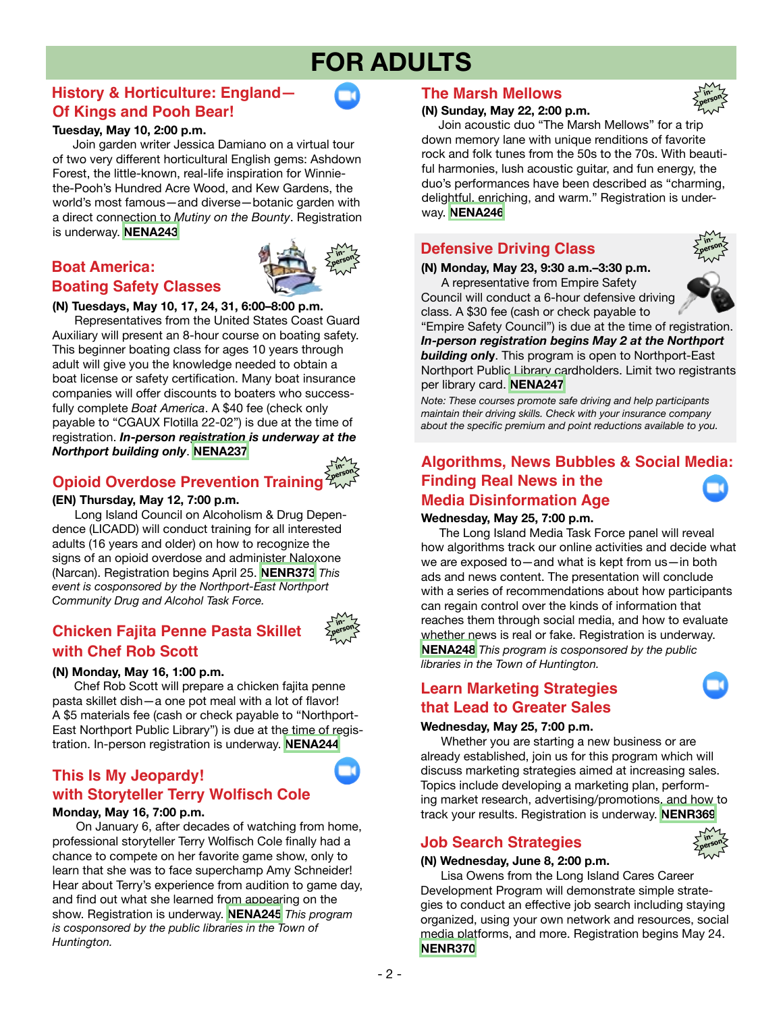## **History & Horticulture: England— Of Kings and Pooh Bear!**

#### **Tuesday, May 10, 2:00 p.m.**

 Join garden writer Jessica Damiano on a virtual tour of two very different horticultural English gems: Ashdown Forest, the little-known, real-life inspiration for Winniethe-Pooh's Hundred Acre Wood, and Kew Gardens, the world's most famous—and diverse—botanic garden with a direct connection to *Mutiny on the Bounty*. Registration is underway. **[NENA243](https://www.nenpl.org/event/history-horticulture-england-kings-and-pooh-bear-zoom)**

# **inperson**

# **Boating Safety Classes**

**Boat America:**

#### **(N) Tuesdays, May 10, 17, 24, 31, 6:00–8:00 p.m.**

 Representatives from the United States Coast Guard Auxiliary will present an 8-hour course on boating safety. This beginner boating class for ages 10 years through adult will give you the knowledge needed to obtain a boat license or safety certification. Many boat insurance companies will offer discounts to boaters who successfully complete *Boat America*. A \$40 fee (check only payable to "CGAUX Flotilla 22-02") is due at the time of registration. *In-person registration is underway at the Northport building only*. **[NENA237](https://www.nenpl.org/event/boat-america-boating-safety-classes-person-2)**



### **Opioid Overdose Prevention Training**

#### **(EN) Thursday, May 12, 7:00 p.m.**

 Long Island Council on Alcoholism & Drug Dependence (LICADD) will conduct training for all interested adults (16 years and older) on how to recognize the signs of an opioid overdose and administer Naloxone (Narcan). Registration begins April 25. **[NENR373](https://www.nenpl.org/event/opioid-overdose-prevention-training-narcan-person)** *This event is cosponsored by the Northport-East Northport Community Drug and Alcohol Task Force.*

## **Chicken Fajita Penne Pasta Skillet with Chef Rob Scott**



#### **(N) Monday, May 16, 1:00 p.m.**

 Chef Rob Scott will prepare a chicken fajita penne pasta skillet dish—a one pot meal with a lot of flavor! A \$5 materials fee (cash or check payable to "Northport-East Northport Public Library") is due at the time of registration. In-person registration is underway. **[NENA244](https://www.nenpl.org/event/chicken-fajita-penne-pasta-skillet-chef-rob-scott-person)**

### **This Is My Jeopardy! with Storyteller Terry Wolfisch Cole**

#### **Monday, May 16, 7:00 p.m.**

 On January 6, after decades of watching from home, professional storyteller Terry Wolfisch Cole finally had a chance to compete on her favorite game show, only to learn that she was to face superchamp Amy Schneider! Hear about Terry's experience from audition to game day, and find out what she learned from appearing on the show. Registration is underway. **[NENA245](https://www.nenpl.org/event/thisismy-jeopardy-story-terry-wolfisch-cole-zoom)** *This program is cosponsored by the public libraries in the Town of Huntington.*

#### **The Marsh Mellows**

#### **(N) Sunday, May 22, 2:00 p.m.**



 Join acoustic duo "The Marsh Mellows" for a trip down memory lane with unique renditions of favorite rock and folk tunes from the 50s to the 70s. With beautiful harmonies, lush acoustic guitar, and fun energy, the duo's performances have been described as "charming, delightful, enriching, and warm." Registration is underway. **[NENA246](https://www.nenpl.org/event/marsh-mellows-person)**

## **Defensive Driving Class in-**

**(N) Monday, May 23, 9:30 a.m.–3:30 p.m.**

 A representative from Empire Safety Council will conduct a 6-hour defensive driving class. A \$30 fee (cash or check payable to



"Empire Safety Council") is due at the time of registration. *In-person registration begins May 2 at the Northport building onl***y**. This program is open to Northport-East Northport Public Library cardholders. Limit two registrants per library card. **[NENA247](https://www.nenpl.org/event/defensive-driving-class-person-0)**

*Note: These courses promote safe driving and help participants maintain their driving skills. Check with your insurance company about the specific premium and point reductions available to you.*

## **Algorithms, News Bubbles & Social Media: Finding Real News in the Media Disinformation Age**

#### **Wednesday, May 25, 7:00 p.m.**

 The Long Island Media Task Force panel will reveal how algorithms track our online activities and decide what we are exposed to—and what is kept from us—in both ads and news content. The presentation will conclude with a series of recommendations about how participants can regain control over the kinds of information that reaches them through social media, and how to evaluate whether news is real or fake. Registration is underway. **[NENA248](https://www.nenpl.org/event/algorithms-news-bubbles-social-media-finding-real-news-media-disinformation-age-zoom)** *This program is cosponsored by the public libraries in the Town of Huntington.*

#### **Learn Marketing Strategies that Lead to Greater Sales**

#### **Wednesday, May 25, 7:00 p.m.**

 Whether you are starting a new business or are already established, join us for this program which will discuss marketing strategies aimed at increasing sales. Topics include developing a marketing plan, performing market research, advertising/promotions, and how to track your results. Registration is underway. **[NENR369](https://www.nenpl.org/event/learn-marketing-strategies-lead-greater-sales-zoom)**

#### **Job Search Strategies**

#### **(N) Wednesday, June 8, 2:00 p.m.**



 Lisa Owens from the Long Island Cares Career Development Program will demonstrate simple strategies to conduct an effective job search including staying organized, using your own network and resources, social media platforms, and more. Registration begins May 24. **[NENR370](https://www.nenpl.org/event/job-search-strategies-person)**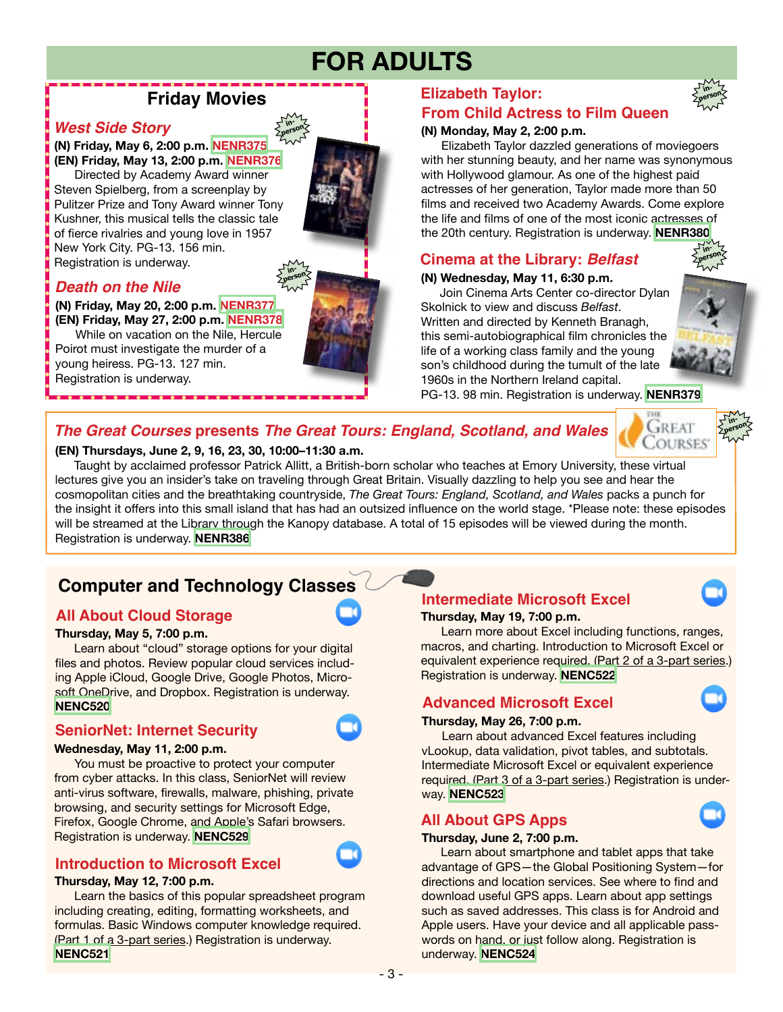## **Friday Movies**

#### *West Side Story* **in-**

**(N) Friday, May 6, 2:00 p.m. [NENR375](https://www.nenpl.org/event/friday-movies-west-side-story-person) (EN) Friday, May 13, 2:00 p.m. [NENR376](https://www.nenpl.org/event/friday-movies-west-side-story-person-0)**

 Directed by Academy Award winner Steven Spielberg, from a screenplay by Pulitzer Prize and Tony Award winner Tony Kushner, this musical tells the classic tale of fierce rivalries and young love in 1957 New York City. PG-13. 156 min. Registration is underway.

## *Death on the Nile*

#### **(N) Friday, May 20, 2:00 p.m. [NENR377](https://www.nenpl.org/event/friday-movies-death-nile-person) (EN) Friday, May 27, 2:00 p.m. [NENR378](https://www.nenpl.org/event/friday-movies-death-nile-person-0)**

 While on vacation on the Nile, Hercule Poirot must investigate the murder of a young heiress. PG-13. 127 min. Registration is underway.

## **Elizabeth Taylor:**

## **From Child Actress to Film Queen**

#### **(N) Monday, May 2, 2:00 p.m.**

 Elizabeth Taylor dazzled generations of moviegoers with her stunning beauty, and her name was synonymous with Hollywood glamour. As one of the highest paid actresses of her generation, Taylor made more than 50 films and received two Academy Awards. Come explore the life and films of one of the most iconic actresses of the 20th century. Registration is underway. **[NENR380](https://www.nenpl.org/event/elizabeth-taylor-child-actress-film-queen-person)**

### **Cinema at the Library:** *Belfast*

#### **(N) Wednesday, May 11, 6:30 p.m.**

 Join Cinema Arts Center co-director Dylan Skolnick to view and discuss *Belfast*. Written and directed by Kenneth Branagh, this semi-autobiographical film chronicles the life of a working class family and the young son's childhood during the tumult of the late 1960s in the Northern Ireland capital.



## *The Great Courses* **presents** *The Great Tours: England, Scotland, and Wales*

**inperson**



 Taught by acclaimed professor Patrick Allitt, a British-born scholar who teaches at Emory University, these virtual lectures give you an insider's take on traveling through Great Britain. Visually dazzling to help you see and hear the cosmopolitan cities and the breathtaking countryside, *The Great Tours: England, Scotland, and Wales* packs a punch for the insight it offers into this small island that has had an outsized influence on the world stage. \*Please note: these episodes will be streamed at the Library through the Kanopy database. A total of 15 episodes will be viewed during the month. Registration is underway. **[NENR386](https://www.nenpl.org/event/great-courses-presents-great-tours-england-scotland-and-wales-person-3)**

# **Computer and Technology Classes**

### **All About Cloud Storage**

#### **Thursday, May 5, 7:00 p.m.**

 Learn about "cloud" storage options for your digital files and photos. Review popular cloud services including Apple iCloud, Google Drive, Google Photos, Microsoft OneDrive, and Dropbox. Registration is underway. **[NENC520](https://www.nenpl.org/event/all-about-cloud-storage-zoom)**

### **SeniorNet: Internet Security**

#### **Wednesday, May 11, 2:00 p.m.**

 You must be proactive to protect your computer from cyber attacks. In this class, SeniorNet will review anti-virus software, firewalls, malware, phishing, private browsing, and security settings for Microsoft Edge, Firefox, Google Chrome, and Apple's Safari browsers. Registration is underway. **[NENC529](https://www.nenpl.org/event/seniornet-internet-security)**

## **Introduction to Microsoft Excel**

#### **Thursday, May 12, 7:00 p.m.**

 Learn the basics of this popular spreadsheet program including creating, editing, formatting worksheets, and formulas. Basic Windows computer knowledge required. (Part 1 of a 3-part series.) Registration is underway. **[NENC521](https://www.nenpl.org/event/introduction-microsoft-excel-zoom)**

#### **Thursday, May 19, 7:00 p.m. Intermediate Microsoft Excel**

 Learn more about Excel including functions, ranges, macros, and charting. Introduction to Microsoft Excel or equivalent experience required. (Part 2 of a 3-part series.) Registration is underway. **[NENC522](https://www.nenpl.org/event/intermediate-microsoft-excel-zoom)**

### **Advanced Microsoft Excel**

#### **Thursday, May 26, 7:00 p.m.**

 Learn about advanced Excel features including vLookup, data validation, pivot tables, and subtotals. Intermediate Microsoft Excel or equivalent experience required. (Part 3 of a 3-part series.) Registration is underway. **[NENC523](https://www.nenpl.org/event/advanced-microsoft-excel-zoom)**

### **All About GPS Apps**

#### **Thursday, June 2, 7:00 p.m.**

 Learn about smartphone and tablet apps that take advantage of GPS—the Global Positioning System—for directions and location services. See where to find and download useful GPS apps. Learn about app settings such as saved addresses. This class is for Android and Apple users. Have your device and all applicable passwords on hand, or just follow along. Registration is underway. **[NENC524](https://www.nenpl.org/event/all-about-gps-apps-zoom)**





**inperson**





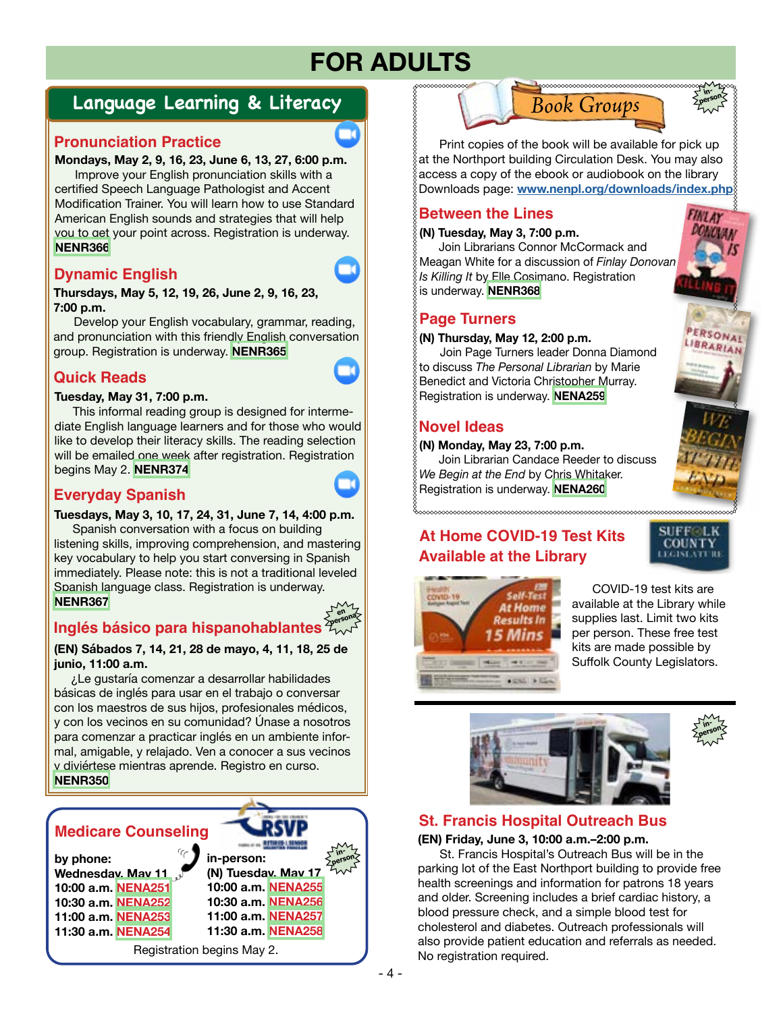# **Language Learning & Literacy**

## **Pronunciation Practice**

**Mondays, May 2, 9, 16, 23, June 6, 13, 27, 6:00 p.m.**

Improve your English pronunciation skills with a certified Speech Language Pathologist and Accent Modification Trainer. You will learn how to use Standard American English sounds and strategies that will help you to get your point across. Registration is underway. **[NENR366](https://www.nenpl.org/event/pronunciation-practice-zoom-12)**

## **Dynamic English**

**Thursdays, May 5, 12, 19, 26, June 2, 9, 16, 23, 7:00 p.m.**

Develop your English vocabulary, grammar, reading, and pronunciation with this friendly English conversation group. Registration is underway. **[NENR365](https://www.nenpl.org/event/dynamic-english-zoom-13)**

## **Quick Reads**

#### **Tuesday, May 31, 7:00 p.m.**

This informal reading group is designed for intermediate English language learners and for those who would like to develop their literacy skills. The reading selection will be emailed one week after registration. Registration begins May 2. **[NENR374](https://www.nenpl.org/event/quick-reads-zoom-0)**

## **Everyday Spanish**

#### **Tuesdays, May 3, 10, 17, 24, 31, June 7, 14, 4:00 p.m.**

Spanish conversation with a focus on building listening skills, improving comprehension, and mastering key vocabulary to help you start conversing in Spanish immediately. Please note: this is not a traditional leveled Spanish language class. Registration is underway. **[NENR367](https://www.nenpl.org/event/everyday-spanish-zoom-13)**



# **Inglés básico para hispanohablantes**

#### **(EN) Sábados 7, 14, 21, 28 de mayo, 4, 11, 18, 25 de junio, 11:00 a.m.**

 ¿Le gustaría comenzar a desarrollar habilidades básicas de inglés para usar en el trabajo o conversar con los maestros de sus hijos, profesionales médicos, y con los vecinos en su comunidad? Únase a nosotros para comenzar a practicar inglés en un ambiente informal, amigable, y relajado. Ven a conocer a sus vecinos y diviértese mientras aprende. Registro en curso. **[NENR350](https://www.nenpl.org/event/ingles-basico-para-hispanohablantes-en-persona-basic-english-spanish-speakers-person)**







## **Between the Lines**

#### **(N) Tuesday, May 3, 7:00 p.m.**

Join Librarians Connor McCormack and Meagan White for a discussion of *Finlay Donovan Is Killing It* by Elle Cosimano. Registration is underway. **[NENR368](https://www.nenpl.org/event/between-lines-person)**

### **Page Turners**

**(N) Thursday, May 12, 2:00 p.m.**

 Join Page Turners leader Donna Diamond to discuss *The Personal Librarian* by Marie Benedict and Victoria Christopher Murray. Registration is underway. **[NENA259](https://www.nenpl.org/event/page-turners-book-discussion-person-0)**

## **Novel Ideas**

#### **(N) Monday, May 23, 7:00 p.m.**

Join Librarian Candace Reeder to discuss *We Begin at the End* by Chris Whitaker. Registration is underway. **[NENA260](https://www.nenpl.org/event/novel-ideas-person-1)**

## **At Home COVID-19 Test Kits Available at the Library**



**inperson**

PERSONAL LIBRARIAN









## **St. Francis Hospital Outreach Bus**

**(EN) Friday, June 3, 10:00 a.m.–2:00 p.m.**

 St. Francis Hospital's Outreach Bus will be in the parking lot of the East Northport building to provide free health screenings and information for patrons 18 years and older. Screening includes a brief cardiac history, a blood pressure check, and a simple blood test for cholesterol and diabetes. Outreach professionals will also provide patient education and referrals as needed. No registration required.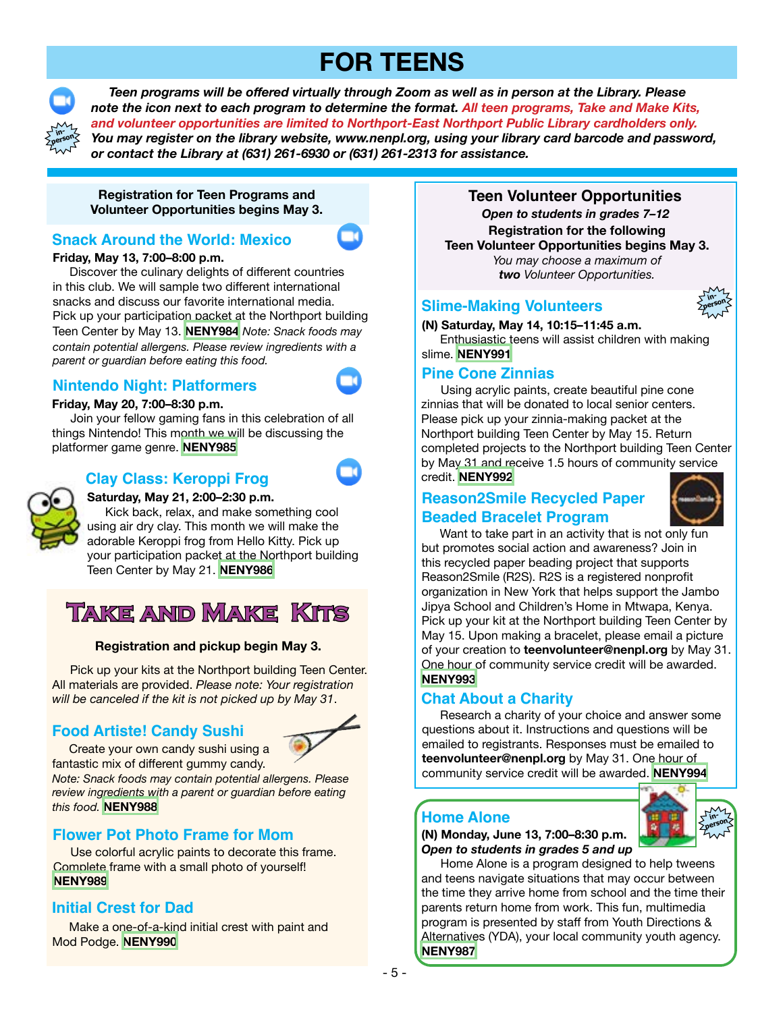# **FOR TEENS**



 *Teen programs will be offered virtually through Zoom as well as in person at the Library. Please note the icon next to each program to determine the format. All teen programs, Take and Make Kits, and volunteer opportunities are limited to Northport-East Northport Public Library cardholders only. You may register on the library website, www.nenpl.org, using your library card barcode and password, or contact the Library at (631) 261-6930 or (631) 261-2313 for assistance.*

**Registration for Teen Programs and Volunteer Opportunities begins May 3.**

### **Snack Around the World: Mexico**

**Friday, May 13, 7:00–8:00 p.m.**

Discover the culinary delights of different countries in this club. We will sample two different international snacks and discuss our favorite international media. Pick up your participation packet at the Northport building Teen Center by May 13. **[NENY984](https://www.nenpl.org/event/snack-around-world-mexico-zoom)** *Note: Snack foods may contain potential allergens. Please review ingredients with a parent or guardian before eating this food.*

#### **Nintendo Night: Platformers**



#### **Friday, May 20, 7:00–8:30 p.m.**

 Join your fellow gaming fans in this celebration of all things Nintendo! This month we will be discussing the platformer game genre. **[NENY985](https://www.nenpl.org/event/nintendo-night-platformers-zoom)**

#### **Clay Class: Keroppi Frog**



## **Saturday, May 21, 2:00–2:30 p.m.**

 Kick back, relax, and make something cool using air dry clay. This month we will make the adorable Keroppi frog from Hello Kitty. Pick up your participation packet at the Northport building Teen Center by May 21. **[NENY986](https://www.nenpl.org/event/clay-class-keroppi-frog-zoom)**

# **Take and Make Kits**

#### **Registration and pickup begin May 3.**

 Pick up your kits at the Northport building Teen Center. All materials are provided. *Please note: Your registration will be canceled if the kit is not picked up by May 31*.

### **Food Artiste! Candy Sushi**



 Create your own candy sushi using a fantastic mix of different gummy candy.

*Note: Snack foods may contain potential allergens. Please review ingredients with a parent or guardian before eating this food.* **[NENY988](https://www.nenpl.org/event/food-artiste-candy-sushi-take-and-make)**

### **Flower Pot Photo Frame for Mom**

 Use colorful acrylic paints to decorate this frame. Complete frame with a small photo of yourself! **[NENY989](https://www.nenpl.org/event/flower-pot-photo-frame-mom-take-and-make)**

#### **Initial Crest for Dad**

 Make a one-of-a-kind initial crest with paint and Mod Podge. **[NENY990](https://www.nenpl.org/event/initial-crest-dad-take-and-make)**

**Teen Volunteer Opportunities Registration for the following Teen Volunteer Opportunities begins May 3.** *You may choose a maximum of two Volunteer Opportunities. Open to students in grades 7–12*

#### **Slime-Making Volunteers**



**(N) Saturday, May 14, 10:15–11:45 a.m.** Enthusiastic teens will assist children with making slime. **[NENY991](https://www.nenpl.org/event/slime-making-volunteers-person)**

#### **Pine Cone Zinnias**

Using acrylic paints, create beautiful pine cone zinnias that will be donated to local senior centers. Please pick up your zinnia-making packet at the Northport building Teen Center by May 15. Return completed projects to the Northport building Teen Center by May 31 and receive 1.5 hours of community service credit. **[NENY992](https://www.nenpl.org/event/pine-cone-zinnias)**

## **Reason2Smile Recycled Paper Beaded Bracelet Program**



 Want to take part in an activity that is not only fun but promotes social action and awareness? Join in this recycled paper beading project that supports Reason2Smile (R2S). R2S is a registered nonprofit organization in New York that helps support the Jambo Jipya School and Children's Home in Mtwapa, Kenya. Pick up your kit at the Northport building Teen Center by May 15. Upon making a bracelet, please email a picture of your creation to **teenvolunteer@nenpl.org** by May 31. One hour of community service credit will be awarded. **[NENY993](https://www.nenpl.org/event/reason2smile-recycled-paper-beaded-bracelet-project)**

### **Chat About a Charity**

Research a charity of your choice and answer some questions about it. Instructions and questions will be emailed to registrants. Responses must be emailed to **teenvolunteer@nenpl.org** by May 31. One hour of community service credit will be awarded. **[NENY994](https://www.nenpl.org/event/chat-about-charity)**

#### **Home Alone**

**(N) Monday, June 13, 7:00–8:30 p.m.** *Open to students in grades 5 and up*



Home Alone is a program designed to help tweens and teens navigate situations that may occur between the time they arrive home from school and the time their parents return home from work. This fun, multimedia program is presented by staff from Youth Directions & Alternatives (YDA), your local community youth agency. **[NENY987](https://www.nenpl.org/event/home-alone-person)**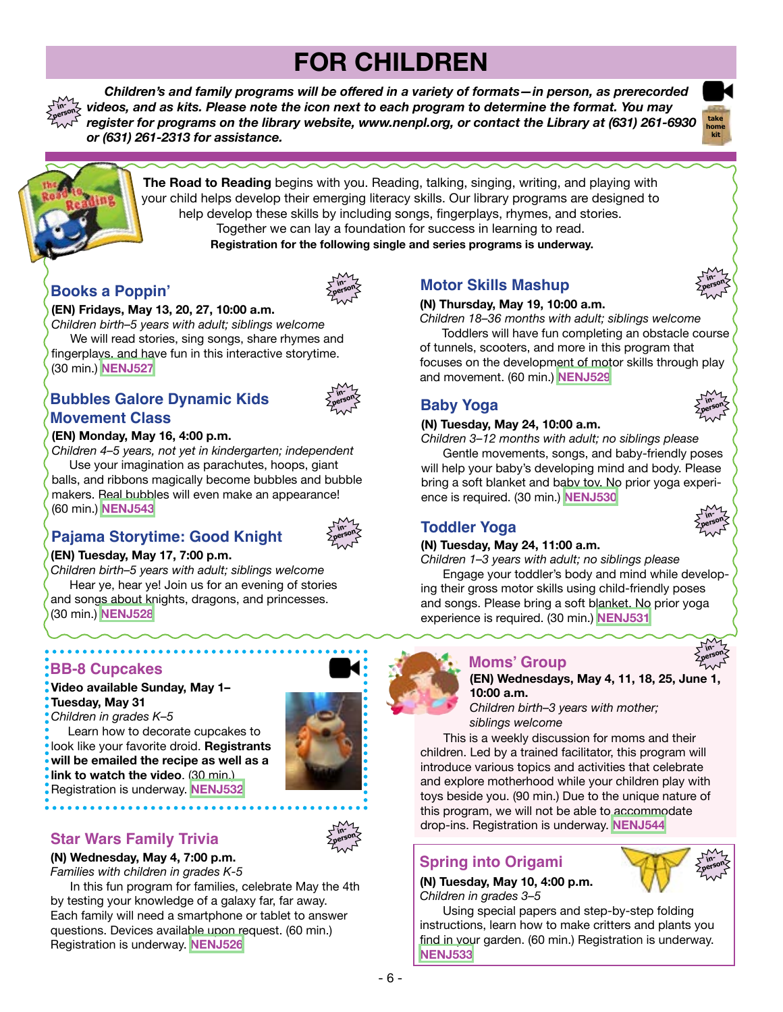# **FOR CHILDREN**

 *Children's and family programs will be offered in a variety of formats—in person, as prerecorded videos, and as kits. Please note the icon next to each program to determine the format. You may register for programs on the library website, www.nenpl.org, or contact the Library at (631) 261-6930 or (631) 261-2313 for assistance.* **inperson**





**The Road to Reading** begins with you. Reading, talking, singing, writing, and playing with your child helps develop their emerging literacy skills. Our library programs are designed to help develop these skills by including songs, fingerplays, rhymes, and stories. Together we can lay a foundation for success in learning to read. **Registration for the following single and series programs is underway.**

## **Books a Poppin'**



#### **(EN) Fridays, May 13, 20, 27, 10:00 a.m.**

*Children birth–5 years with adult; siblings welcome* We will read stories, sing songs, share rhymes and fingerplays, and have fun in this interactive storytime. (30 min.) **[NENJ527](https://www.nenpl.org/event/books-poppin-person-2)**

## **Bubbles Galore Dynamic Kids Movement Class**



#### **(EN) Monday, May 16, 4:00 p.m.**

*Children 4–5 years, not yet in kindergarten; independent* Use your imagination as parachutes, hoops, giant balls, and ribbons magically become bubbles and bubble makers. Real bubbles will even make an appearance!

# **Pajama Storytime: Good Knight**



#### **(EN) Tuesday, May 17, 7:00 p.m.**

*Children birth–5 years with adult; siblings welcome* Hear ye, hear ye! Join us for an evening of stories and songs about knights, dragons, and princesses. (30 min.) **[NENJ528](https://www.nenpl.org/event/pj-storytime-person)**

# **BB-8 Cupcakes**

(60 min.) **[NENJ543](https://www.nenpl.org/event/bubbles-galore-person)**

**Video available Sunday, May 1– Tuesday, May 31**

*Children in grades K–5*

 Learn how to decorate cupcakes to look like your favorite droid. **Registrants will be emailed the recipe as well as a link to watch the video**. (30 min.) Registration is underway. **[NENJ532](https://www.nenpl.org/event/bb-8-cupcakes-video)**

**inperson**

## **Star Wars Family Trivia**

**(N) Wednesday, May 4, 7:00 p.m.**

*Families with children in grades K-5*

 In this fun program for families, celebrate May the 4th by testing your knowledge of a galaxy far, far away. Each family will need a smartphone or tablet to answer questions. Devices available upon request. (60 min.) Registration is underway. **[NENJ526](https://www.nenpl.org/event/star-wars-family-trivia-person)**

## **Motor Skills Mashup**

#### **(N) Thursday, May 19, 10:00 a.m.**



*Children 18–36 months with adult; siblings welcome* Toddlers will have fun completing an obstacle course of tunnels, scooters, and more in this program that focuses on the development of motor skills through play and movement. (60 min.) **[NENJ529](https://www.nenpl.org/event/motor-skills-mashup-person)**

# **Baby Yoga**

#### **(N) Tuesday, May 24, 10:00 a.m.**

*Children 3–12 months with adult; no siblings please* Gentle movements, songs, and baby-friendly poses

will help your baby's developing mind and body. Please bring a soft blanket and baby toy. No prior yoga experience is required. (30 min.) **[NENJ530](https://www.nenpl.org/event/baby-yoga-person)**

## **Toddler Yoga**

#### **(N) Tuesday, May 24, 11:00 a.m.**

*Children 1–3 years with adult; no siblings please*

 Engage your toddler's body and mind while developing their gross motor skills using child-friendly poses and songs. Please bring a soft blanket. No prior yoga experience is required. (30 min.) **[NENJ531](https://www.nenpl.org/event/toddler-yoga-person)**

## **Moms' Group**



**inperson**

**inperson**

**inperson**

**(EN) Wednesdays, May 4, 11, 18, 25, June 1, 10:00 a.m.** *Children birth–3 years with mother;*

*siblings welcome*

This is a weekly discussion for moms and their children. Led by a trained facilitator, this program will introduce various topics and activities that celebrate and explore motherhood while your children play with toys beside you. (90 min.) Due to the unique nature of this program, we will not be able to accommodate drop-ins. Registration is underway. **[NENJ544](https://www.nenpl.org/event/moms-group-person-4)**

## **Spring into Origami**

**(N) Tuesday, May 10, 4:00 p.m.** *Children in grades 3–5* 

 Using special papers and step-by-step folding instructions, learn how to make critters and plants you find in your garden. (60 min.) Registration is underway. **[NENJ533](https://www.nenpl.org/event/spring-origami-person)**

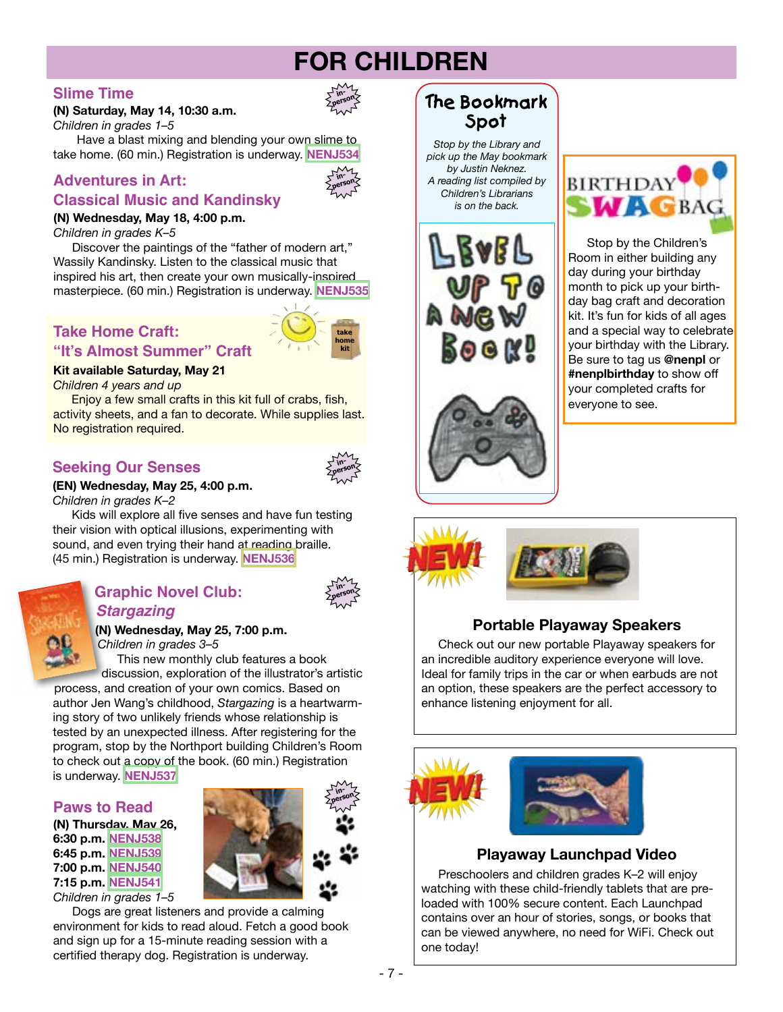# **FOR CHILDREN**

## **Slime Time**

#### **(N) Saturday, May 14, 10:30 a.m.** *Children in grades 1–5*

**inperson**

 Have a blast mixing and blending your own slime to take home. (60 min.) Registration is underway. **[NENJ534](https://www.nenpl.org/event/slime-time-person)**

## **Adventures in Art:**



**take home kit**

**inperson**

**inperson**

## **Classical Music and Kandinsky**

## **(N) Wednesday, May 18, 4:00 p.m.**

*Children in grades K–5*

 Discover the paintings of the "father of modern art," Wassily Kandinsky. Listen to the classical music that inspired his art, then create your own musically-inspired masterpiece. (60 min.) Registration is underway. **[NENJ535](https://www.nenpl.org/event/adventures-art-classical-music-and-kandinsky-person)**

# **Take Home Craft:**

#### **"It's Almost Summer" Craft**

#### **Kit available Saturday, May 21**

*Children 4 years and up*

 Enjoy a few small crafts in this kit full of crabs, fish, activity sheets, and a fan to decorate. While supplies last. No registration required.

## **Seeking Our Senses**

#### **(EN) Wednesday, May 25, 4:00 p.m.**

*Children in grades K–2*

 Kids will explore all five senses and have fun testing their vision with optical illusions, experimenting with sound, and even trying their hand at reading braille. (45 min.) Registration is underway. **[NENJ536](https://www.nenpl.org/event/seeking-our-senses-person)**



#### **Graphic Novel Club:**  *Stargazing*

**(N) Wednesday, May 25, 7:00 p.m.** *Children in grades 3–5*

 This new monthly club features a book discussion, exploration of the illustrator's artistic

process, and creation of your own comics. Based on author Jen Wang's childhood, *Stargazing* is a heartwarming story of two unlikely friends whose relationship is tested by an unexpected illness. After registering for the program, stop by the Northport building Children's Room to check out a copy of the book. (60 min.) Registration is underway. **[NENJ537](https://www.nenpl.org/event/graphic-novel-club-stargazing-person)**

#### **Paws to Read**

**(N) Thursday, May 26, 6:30 p.m. [NENJ538](https://www.nenpl.org/event/paws-read-person-7) 6:45 p.m. [NENJ539](https://www.nenpl.org/event/paws-read-person-8) 7:00 p.m. [NENJ540](https://www.nenpl.org/event/paws-read-person-9) 7:15 p.m. [NENJ541](https://www.nenpl.org/event/paws-read-person-10)** *Children in grades 1–5*



 Dogs are great listeners and provide a calming environment for kids to read aloud. Fetch a good book and sign up for a 15-minute reading session with a certified therapy dog. Registration is underway.

## **The Bookmark Spot**

*Stop by the Library and pick up the May bookmark by Justin Neknez. A reading list compiled by Children's Librarians is on the back.*





 Stop by the Children's Room in either building any day during your birthday month to pick up your birthday bag craft and decoration kit. It's fun for kids of all ages and a special way to celebrate your birthday with the Library. Be sure to tag us **@nenpl** or **#nenplbirthday** to show off your completed crafts for everyone to see.







## **Portable Playaway Speakers**

 Check out our new portable Playaway speakers for an incredible auditory experience everyone will love. Ideal for family trips in the car or when earbuds are not an option, these speakers are the perfect accessory to enhance listening enjoyment for all.



### **Playaway Launchpad Video**

 Preschoolers and children grades K–2 will enjoy watching with these child-friendly tablets that are preloaded with 100% secure content. Each Launchpad contains over an hour of stories, songs, or books that can be viewed anywhere, no need for WiFi. Check out one today!